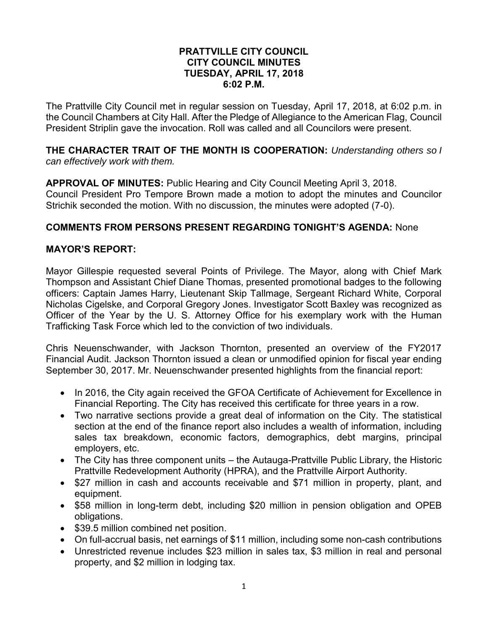#### **PRATTVILLE CITY COUNCIL CITY COUNCIL MINUTES TUESDAY, APRIL 17, 2018 6:02 P.M.**

The Prattville City Council met in regular session on Tuesday, April 17, 2018, at 6:02 p.m. in the Council Chambers at City Hall. After the Pledge of Allegiance to the American Flag, Council President Striplin gave the invocation. Roll was called and all Councilors were present.

**THE CHARACTER TRAIT OF THE MONTH IS COOPERATION:** *Understanding others so I can effectively work with them.* 

**APPROVAL OF MINUTES:** Public Hearing and City Council Meeting April 3, 2018. Council President Pro Tempore Brown made a motion to adopt the minutes and Councilor Strichik seconded the motion. With no discussion, the minutes were adopted (7-0).

## **COMMENTS FROM PERSONS PRESENT REGARDING TONIGHT'S AGENDA:** None

## **MAYOR'S REPORT:**

Mayor Gillespie requested several Points of Privilege. The Mayor, along with Chief Mark Thompson and Assistant Chief Diane Thomas, presented promotional badges to the following officers: Captain James Harry, Lieutenant Skip Tallmage, Sergeant Richard White, Corporal Nicholas Cigelske, and Corporal Gregory Jones. Investigator Scott Baxley was recognized as Officer of the Year by the U. S. Attorney Office for his exemplary work with the Human Trafficking Task Force which led to the conviction of two individuals.

Chris Neuenschwander, with Jackson Thornton, presented an overview of the FY2017 Financial Audit. Jackson Thornton issued a clean or unmodified opinion for fiscal year ending September 30, 2017. Mr. Neuenschwander presented highlights from the financial report:

- In 2016, the City again received the GFOA Certificate of Achievement for Excellence in Financial Reporting. The City has received this certificate for three years in a row.
- Two narrative sections provide a great deal of information on the City. The statistical section at the end of the finance report also includes a wealth of information, including sales tax breakdown, economic factors, demographics, debt margins, principal employers, etc.
- The City has three component units the Autauga-Prattville Public Library, the Historic Prattville Redevelopment Authority (HPRA), and the Prattville Airport Authority.
- \$27 million in cash and accounts receivable and \$71 million in property, plant, and equipment.
- \$58 million in long-term debt, including \$20 million in pension obligation and OPEB obligations.
- \$39.5 million combined net position.
- On full-accrual basis, net earnings of \$11 million, including some non-cash contributions
- Unrestricted revenue includes \$23 million in sales tax, \$3 million in real and personal property, and \$2 million in lodging tax.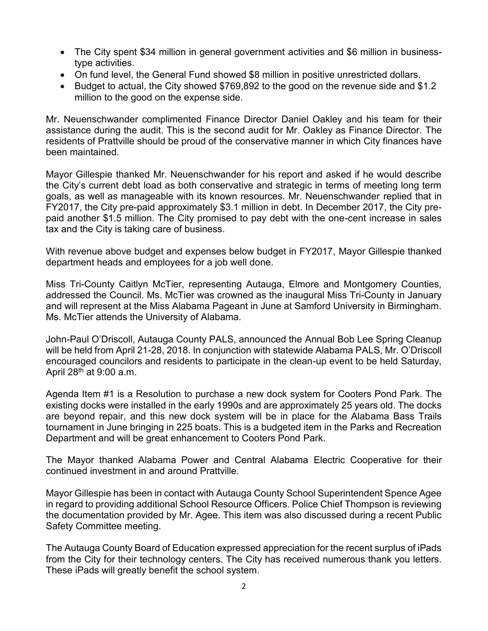- The City spent \$34 million in general government activities and \$6 million in businesstype activities.
- On fund level, the General Fund showed \$8 million in positive unrestricted dollars.
- Budget to actual, the City showed \$769,892 to the good on the revenue side and \$1.2 million to the good on the expense side.

Mr. Neuenschwander complimented Finance Director Daniel Oakley and his team for their assistance during the audit. This is the second audit for Mr. Oakley as Finance Director. The residents of Prattville should be proud of the conservative manner in which City finances have been maintained.

Mayor Gillespie thanked Mr. Neuenschwander for his report and asked if he would describe the City's current debt load as both conservative and strategic in terms of meeting long term goals, as well as manageable with its known resources. Mr. Neuenschwander replied that in FY2017, the City pre-paid approximately \$3.1 million in debt. In December 2017, the City prepaid another \$1.5 million. The City promised to pay debt with the one-cent increase in sales tax and the City is taking care of business.

With revenue above budget and expenses below budget in FY2017, Mayor Gillespie thanked department heads and employees for a job well done.

Miss Tri-County Caitlyn McTier, representing Autauga, Elmore and Montgomery Counties, addressed the Council. Ms. McTier was crowned as the inaugural Miss Tri-County in January and will represent at the Miss Alabama Pageant in June at Samford University in Birmingham. Ms. McTier attends the University of Alabama.

John-Paul O'Driscoll, Autauga County PALS, announced the Annual Bob Lee Spring Cleanup will be held from April 21-28, 2018. In conjunction with statewide Alabama PALS, Mr. O'Driscoll encouraged councilors and residents to participate in the clean-up event to be held Saturday, April  $28<sup>th</sup>$  at 9:00 a.m.

Agenda Item #1 is a Resolution to purchase a new dock system for Cooters Pond Park. The existing docks were installed in the early 1990s and are approximately 25 years old. The docks are beyond repair, and this new dock system will be in place for the Alabama Bass Trails tournament in June bringing in 225 boats. This is a budgeted item in the Parks and Recreation Department and will be great enhancement to Cooters Pond Park.

The Mayor thanked Alabama Power and Central Alabama Electric Cooperative for their continued investment in and around Prattville.

Mayor Gillespie has been in contact with Autauga County School Superintendent Spence Agee in regard to providing additional School Resource Officers. Police Chief Thompson is reviewing the documentation provided by Mr. Agee. This item was also discussed during a recent Public Safety Committee meeting.

The Autauga County Board of Education expressed appreciation for the recent surplus of iPads from the City for their technology centers. The City has received numerous thank you letters. These iPads will greatly benefit the school system.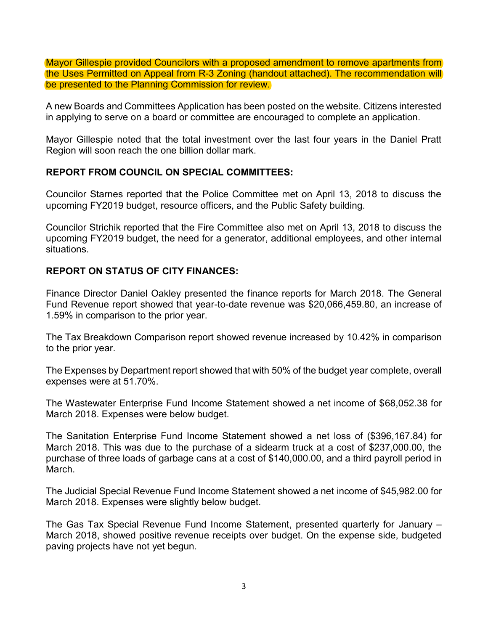Mayor Gillespie provided Councilors with a proposed amendment to remove apartments from the Uses Permitted on Appeal from R-3 Zoning (handout attached). The recommendation will be presented to the Planning Commission for review.

A new Boards and Committees Application has been posted on the website. Citizens interested in applying to serve on a board or committee are encouraged to complete an application.

Mayor Gillespie noted that the total investment over the last four years in the Daniel Pratt Region will soon reach the one billion dollar mark.

## **REPORT FROM COUNCIL ON SPECIAL COMMITTEES:**

Councilor Starnes reported that the Police Committee met on April 13, 2018 to discuss the upcoming FY2019 budget, resource officers, and the Public Safety building.

Councilor Strichik reported that the Fire Committee also met on April 13, 2018 to discuss the upcoming FY2019 budget, the need for a generator, additional employees, and other internal situations.

# **REPORT ON STATUS OF CITY FINANCES:**

Finance Director Daniel Oakley presented the finance reports for March 2018. The General Fund Revenue report showed that year-to-date revenue was \$20,066,459.80, an increase of 1.59% in comparison to the prior year.

The Tax Breakdown Comparison report showed revenue increased by 10.42% in comparison to the prior year.

The Expenses by Department report showed that with 50% of the budget year complete, overall expenses were at 51.70%.

The Wastewater Enterprise Fund Income Statement showed a net income of \$68,052.38 for March 2018. Expenses were below budget.

The Sanitation Enterprise Fund Income Statement showed a net loss of (\$396,167.84) for March 2018. This was due to the purchase of a sidearm truck at a cost of \$237,000.00, the purchase of three loads of garbage cans at a cost of \$140,000.00, and a third payroll period in March.

The Judicial Special Revenue Fund Income Statement showed a net income of \$45,982.00 for March 2018. Expenses were slightly below budget.

The Gas Tax Special Revenue Fund Income Statement, presented quarterly for January – March 2018, showed positive revenue receipts over budget. On the expense side, budgeted paving projects have not yet begun.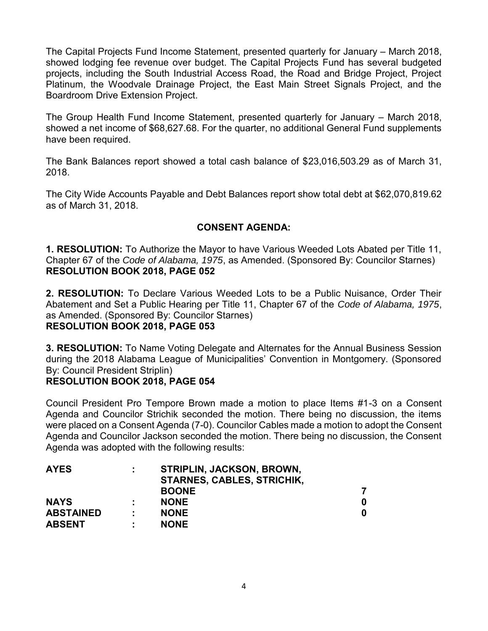The Capital Projects Fund Income Statement, presented quarterly for January – March 2018, showed lodging fee revenue over budget. The Capital Projects Fund has several budgeted projects, including the South Industrial Access Road, the Road and Bridge Project, Project Platinum, the Woodvale Drainage Project, the East Main Street Signals Project, and the Boardroom Drive Extension Project.

The Group Health Fund Income Statement, presented quarterly for January – March 2018, showed a net income of \$68,627.68. For the quarter, no additional General Fund supplements have been required.

The Bank Balances report showed a total cash balance of \$23,016,503.29 as of March 31, 2018.

The City Wide Accounts Payable and Debt Balances report show total debt at \$62,070,819.62 as of March 31, 2018.

# **CONSENT AGENDA:**

**1. RESOLUTION:** To Authorize the Mayor to have Various Weeded Lots Abated per Title 11, Chapter 67 of the *Code of Alabama, 1975*, as Amended. (Sponsored By: Councilor Starnes) **RESOLUTION BOOK 2018, PAGE 052**

**2. RESOLUTION:** To Declare Various Weeded Lots to be a Public Nuisance, Order Their Abatement and Set a Public Hearing per Title 11, Chapter 67 of the *Code of Alabama, 1975*, as Amended. (Sponsored By: Councilor Starnes)

#### **RESOLUTION BOOK 2018, PAGE 053**

**3. RESOLUTION:** To Name Voting Delegate and Alternates for the Annual Business Session during the 2018 Alabama League of Municipalities' Convention in Montgomery. (Sponsored By: Council President Striplin)

# **RESOLUTION BOOK 2018, PAGE 054**

Council President Pro Tempore Brown made a motion to place Items #1-3 on a Consent Agenda and Councilor Strichik seconded the motion. There being no discussion, the items were placed on a Consent Agenda (7-0). Councilor Cables made a motion to adopt the Consent Agenda and Councilor Jackson seconded the motion. There being no discussion, the Consent Agenda was adopted with the following results:

| <b>AYES</b>      | ÷ | STRIPLIN, JACKSON, BROWN,<br><b>STARNES, CABLES, STRICHIK,</b> |   |
|------------------|---|----------------------------------------------------------------|---|
|                  |   | <b>BOONE</b>                                                   |   |
| <b>NAYS</b>      |   | <b>NONE</b>                                                    | O |
| <b>ABSTAINED</b> |   | <b>NONE</b>                                                    | O |
| <b>ABSENT</b>    | ٠ | <b>NONE</b>                                                    |   |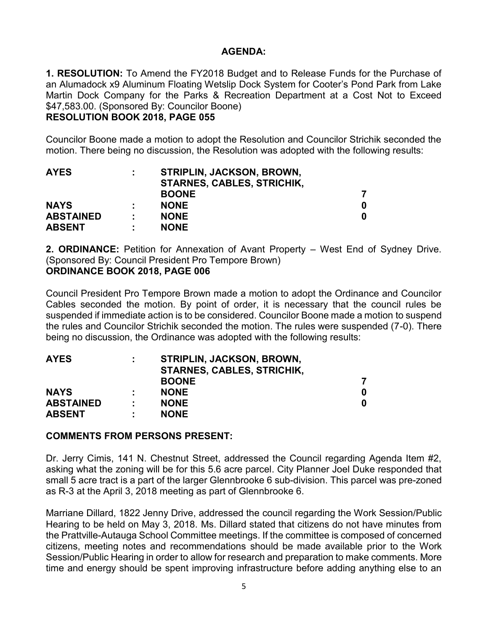#### **AGENDA:**

**1. RESOLUTION:** To Amend the FY2018 Budget and to Release Funds for the Purchase of an Alumadock x9 Aluminum Floating Wetslip Dock System for Cooter's Pond Park from Lake Martin Dock Company for the Parks & Recreation Department at a Cost Not to Exceed \$47,583.00. (Sponsored By: Councilor Boone)

## **RESOLUTION BOOK 2018, PAGE 055**

Councilor Boone made a motion to adopt the Resolution and Councilor Strichik seconded the motion. There being no discussion, the Resolution was adopted with the following results:

| <b>AYES</b>      | ÷ | STRIPLIN, JACKSON, BROWN,<br><b>STARNES, CABLES, STRICHIK,</b> |  |
|------------------|---|----------------------------------------------------------------|--|
|                  |   | <b>BOONE</b>                                                   |  |
| <b>NAYS</b>      |   | <b>NONE</b>                                                    |  |
| <b>ABSTAINED</b> |   | <b>NONE</b>                                                    |  |
| <b>ABSENT</b>    | ٠ | <b>NONE</b>                                                    |  |

**2. ORDINANCE:** Petition for Annexation of Avant Property – West End of Sydney Drive. (Sponsored By: Council President Pro Tempore Brown) **ORDINANCE BOOK 2018, PAGE 006**

Council President Pro Tempore Brown made a motion to adopt the Ordinance and Councilor Cables seconded the motion. By point of order, it is necessary that the council rules be suspended if immediate action is to be considered. Councilor Boone made a motion to suspend the rules and Councilor Strichik seconded the motion. The rules were suspended (7-0). There being no discussion, the Ordinance was adopted with the following results:

| <b>AYES</b>      | ÷ | STRIPLIN, JACKSON, BROWN,<br><b>STARNES, CABLES, STRICHIK,</b> |   |
|------------------|---|----------------------------------------------------------------|---|
|                  |   | <b>BOONE</b>                                                   |   |
| <b>NAYS</b>      |   | <b>NONE</b>                                                    | 0 |
| <b>ABSTAINED</b> | ٠ | <b>NONE</b>                                                    | O |
| <b>ABSENT</b>    | ٠ | <b>NONE</b>                                                    |   |

#### **COMMENTS FROM PERSONS PRESENT:**

Dr. Jerry Cimis, 141 N. Chestnut Street, addressed the Council regarding Agenda Item #2, asking what the zoning will be for this 5.6 acre parcel. City Planner Joel Duke responded that small 5 acre tract is a part of the larger Glennbrooke 6 sub-division. This parcel was pre-zoned as R-3 at the April 3, 2018 meeting as part of Glennbrooke 6.

Marriane Dillard, 1822 Jenny Drive, addressed the council regarding the Work Session/Public Hearing to be held on May 3, 2018. Ms. Dillard stated that citizens do not have minutes from the Prattville-Autauga School Committee meetings. If the committee is composed of concerned citizens, meeting notes and recommendations should be made available prior to the Work Session/Public Hearing in order to allow for research and preparation to make comments. More time and energy should be spent improving infrastructure before adding anything else to an